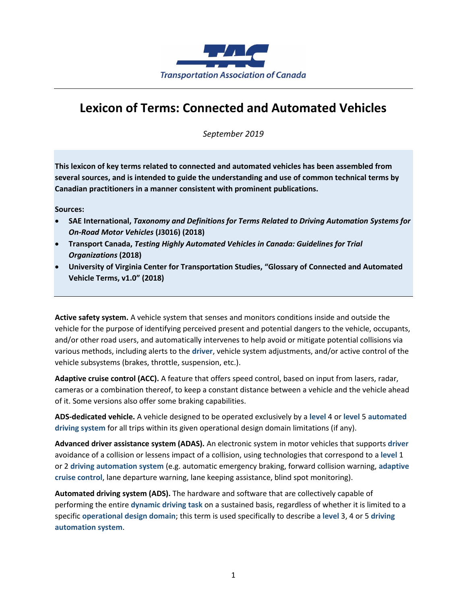

## **Lexicon of Terms: Connected and Automated Vehicles**

*September 2019*

**This lexicon of key terms related to connected and automated vehicles has been assembled from several sources, and is intended to guide the understanding and use of common technical terms by Canadian practitioners in a manner consistent with prominent publications.**

**Sources:**

- **SAE International,** *Taxonomy and Definitions for Terms Related to Driving Automation Systems for On-Road Motor Vehicles* **(J3016) (2018)**
- **Transport Canada,** *Testing Highly Automated Vehicles in Canada: Guidelines for Trial Organizations* **(2018)**
- **University of Virginia Center for Transportation Studies, "Glossary of Connected and Automated Vehicle Terms, v1.0" (2018)**

**Active safety system.** A vehicle system that senses and monitors conditions inside and outside the vehicle for the purpose of identifying perceived present and potential dangers to the vehicle, occupants, and/or other road users, and automatically intervenes to help avoid or mitigate potential collisions via various methods, including alerts to the **driver**, vehicle system adjustments, and/or active control of the vehicle subsystems (brakes, throttle, suspension, etc.).

**Adaptive cruise control (ACC).** A feature that offers speed control, based on input from lasers, radar, cameras or a combination thereof, to keep a constant distance between a vehicle and the vehicle ahead of it. Some versions also offer some braking capabilities.

**ADS-dedicated vehicle.** A vehicle designed to be operated exclusively by a **level** 4 or **level** 5 **automated driving system** for all trips within its given operational design domain limitations (if any).

**Advanced driver assistance system (ADAS).** An electronic system in motor vehicles that supports **driver** avoidance of a collision or lessens impact of a collision, using technologies that correspond to a **level** 1 or 2 **driving automation system** (e.g. automatic emergency braking, forward collision warning, **adaptive cruise control**, lane departure warning, lane keeping assistance, blind spot monitoring).

**Automated driving system (ADS).** The hardware and software that are collectively capable of performing the entire **dynamic driving task** on a sustained basis, regardless of whether it is limited to a specific **operational design domain**; this term is used specifically to describe a **level** 3, 4 or 5 **driving automation system**.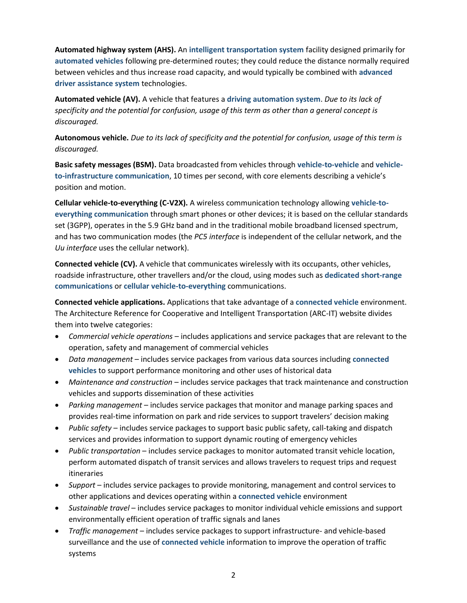**Automated highway system (AHS).** An **intelligent transportation system** facility designed primarily for **automated vehicles** following pre-determined routes; they could reduce the distance normally required between vehicles and thus increase road capacity, and would typically be combined with **advanced driver assistance system** technologies.

**Automated vehicle (AV).** A vehicle that features a **driving automation system**. *Due to its lack of specificity and the potential for confusion, usage of this term as other than a general concept is discouraged.* 

**Autonomous vehicle.** *Due to its lack of specificity and the potential for confusion, usage of this term is discouraged.* 

**Basic safety messages (BSM).** Data broadcasted from vehicles through **vehicle-to-vehicle** and **vehicleto-infrastructure communication**, 10 times per second, with core elements describing a vehicle's position and motion.

**Cellular vehicle-to-everything (C-V2X).** A wireless communication technology allowing **vehicle-toeverything communication** through smart phones or other devices; it is based on the cellular standards set (3GPP), operates in the 5.9 GHz band and in the traditional mobile broadband licensed spectrum, and has two communication modes (the *PC5 interface* is independent of the cellular network, and the *Uu interface* uses the cellular network).

**Connected vehicle (CV).** A vehicle that communicates wirelessly with its occupants, other vehicles, roadside infrastructure, other travellers and/or the cloud, using modes such as **dedicated short-range communications** or **cellular vehicle-to-everything** communications.

**Connected vehicle applications.** Applications that take advantage of a **connected vehicle** environment. The Architecture Reference for Cooperative and Intelligent Transportation (ARC-IT) website divides them into twelve categories:

- *Commercial vehicle operations* includes applications and service packages that are relevant to the operation, safety and management of commercial vehicles
- *Data management* includes service packages from various data sources including **connected vehicles** to support performance monitoring and other uses of historical data
- *Maintenance and construction* includes service packages that track maintenance and construction vehicles and supports dissemination of these activities
- *Parking management* includes service packages that monitor and manage parking spaces and provides real-time information on park and ride services to support travelers' decision making
- *Public safety* includes service packages to support basic public safety, call-taking and dispatch services and provides information to support dynamic routing of emergency vehicles
- *Public transportation* includes service packages to monitor automated transit vehicle location, perform automated dispatch of transit services and allows travelers to request trips and request itineraries
- *Support* includes service packages to provide monitoring, management and control services to other applications and devices operating within a **connected vehicle** environment
- *Sustainable travel* includes service packages to monitor individual vehicle emissions and support environmentally efficient operation of traffic signals and lanes
- *Traffic management* includes service packages to support infrastructure- and vehicle-based surveillance and the use of **connected vehicle** information to improve the operation of traffic systems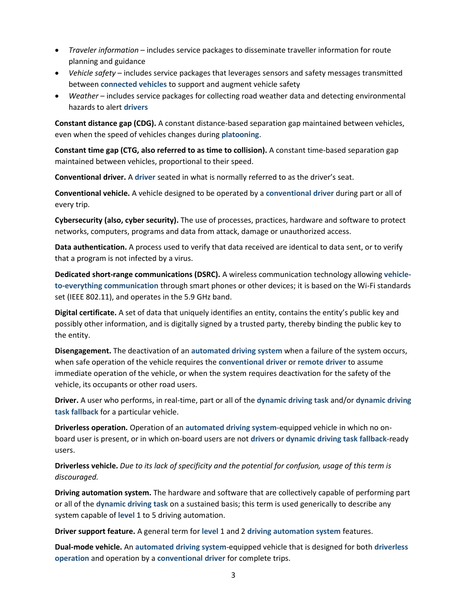- *Traveler information* includes service packages to disseminate traveller information for route planning and guidance
- *Vehicle safety* includes service packages that leverages sensors and safety messages transmitted between **connected vehicles** to support and augment vehicle safety
- *Weather* includes service packages for collecting road weather data and detecting environmental hazards to alert **drivers**

**Constant distance gap (CDG).** A constant distance-based separation gap maintained between vehicles, even when the speed of vehicles changes during **platooning**.

**Constant time gap (CTG, also referred to as time to collision).** A constant time-based separation gap maintained between vehicles, proportional to their speed.

**Conventional driver.** A **driver** seated in what is normally referred to as the driver's seat.

**Conventional vehicle.** A vehicle designed to be operated by a **conventional driver** during part or all of every trip.

**Cybersecurity (also, cyber security).** The use of processes, practices, hardware and software to protect networks, computers, programs and data from attack, damage or unauthorized access.

**Data authentication.** A process used to verify that data received are identical to data sent, or to verify that a program is not infected by a virus.

**Dedicated short-range communications (DSRC).** A wireless communication technology allowing **vehicleto-everything communication** through smart phones or other devices; it is based on the Wi-Fi standards set (IEEE 802.11), and operates in the 5.9 GHz band.

**Digital certificate.** A set of data that uniquely identifies an entity, contains the entity's public key and possibly other information, and is digitally signed by a trusted party, thereby binding the public key to the entity.

**Disengagement.** The deactivation of an **automated driving system** when a failure of the system occurs, when safe operation of the vehicle requires the **conventional driver** or **remote driver** to assume immediate operation of the vehicle, or when the system requires deactivation for the safety of the vehicle, its occupants or other road users.

**Driver.** A user who performs, in real-time, part or all of the **dynamic driving task** and/or **dynamic driving task fallback** for a particular vehicle.

**Driverless operation.** Operation of an **automated driving system**-equipped vehicle in which no onboard user is present, or in which on-board users are not **drivers** or **dynamic driving task fallback**-ready users.

**Driverless vehicle.** *Due to its lack of specificity and the potential for confusion, usage of this term is discouraged.*

**Driving automation system.** The hardware and software that are collectively capable of performing part or all of the **dynamic driving task** on a sustained basis; this term is used generically to describe any system capable of **level** 1 to 5 driving automation.

**Driver support feature.** A general term for **level** 1 and 2 **driving automation system** features.

**Dual-mode vehicle.** An **automated driving system**-equipped vehicle that is designed for both **driverless operation** and operation by a **conventional driver** for complete trips.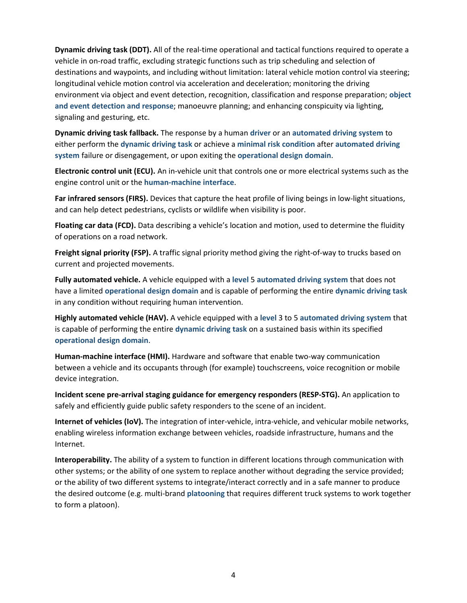**Dynamic driving task (DDT).** All of the real-time operational and tactical functions required to operate a vehicle in on-road traffic, excluding strategic functions such as trip scheduling and selection of destinations and waypoints, and including without limitation: lateral vehicle motion control via steering; longitudinal vehicle motion control via acceleration and deceleration; monitoring the driving environment via object and event detection, recognition, classification and response preparation; **object and event detection and response**; manoeuvre planning; and enhancing conspicuity via lighting, signaling and gesturing, etc.

**Dynamic driving task fallback.** The response by a human **driver** or an **automated driving system** to either perform the **dynamic driving task** or achieve a **minimal risk condition** after **automated driving system** failure or disengagement, or upon exiting the **operational design domain**.

**Electronic control unit (ECU).** An in-vehicle unit that controls one or more electrical systems such as the engine control unit or the **human-machine interface**.

**Far infrared sensors (FIRS).** Devices that capture the heat profile of living beings in low-light situations, and can help detect pedestrians, cyclists or wildlife when visibility is poor.

**Floating car data (FCD).** Data describing a vehicle's location and motion, used to determine the fluidity of operations on a road network.

**Freight signal priority (FSP).** A traffic signal priority method giving the right-of-way to trucks based on current and projected movements.

**Fully automated vehicle.** A vehicle equipped with a **level** 5 **automated driving system** that does not have a limited **operational design domain** and is capable of performing the entire **dynamic driving task** in any condition without requiring human intervention.

**Highly automated vehicle (HAV).** A vehicle equipped with a **level** 3 to 5 **automated driving system** that is capable of performing the entire **dynamic driving task** on a sustained basis within its specified **operational design domain**.

**Human-machine interface (HMI).** Hardware and software that enable two-way communication between a vehicle and its occupants through (for example) touchscreens, voice recognition or mobile device integration.

**Incident scene pre-arrival staging guidance for emergency responders (RESP-STG).** An application to safely and efficiently guide public safety responders to the scene of an incident.

**Internet of vehicles (IoV).** The integration of inter-vehicle, intra-vehicle, and vehicular mobile networks, enabling wireless information exchange between vehicles, roadside infrastructure, humans and the Internet.

**Interoperability.** The ability of a system to function in different locations through communication with other systems; or the ability of one system to replace another without degrading the service provided; or the ability of two different systems to integrate/interact correctly and in a safe manner to produce the desired outcome (e.g. multi-brand **platooning** that requires different truck systems to work together to form a platoon).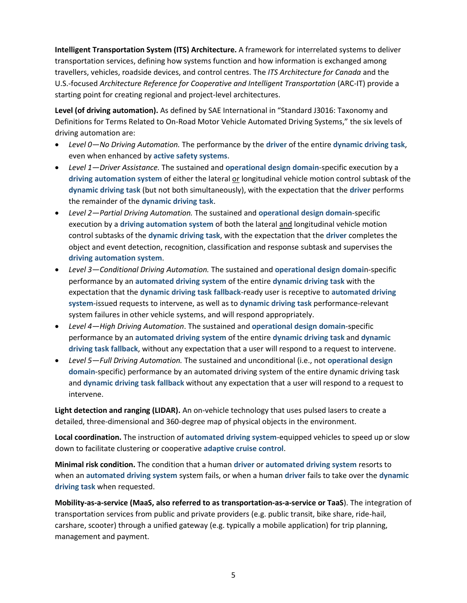**Intelligent Transportation System (ITS) Architecture.** A framework for interrelated systems to deliver transportation services, defining how systems function and how information is exchanged among travellers, vehicles, roadside devices, and control centres. The *ITS Architecture for Canada* and the U.S.-focused *Architecture Reference for Cooperative and Intelligent Transportation* (ARC-IT) provide a starting point for creating regional and project-level architectures.

**Level (of driving automation).** As defined by SAE International in "Standard J3016: Taxonomy and Definitions for Terms Related to On-Road Motor Vehicle Automated Driving Systems," the six levels of driving automation are:

- *Level 0—No Driving Automation.* The performance by the **driver** of the entire **dynamic driving task**, even when enhanced by **active safety systems**.
- *Level 1—Driver Assistance.* The sustained and **operational design domain**-specific execution by a **driving automation system** of either the lateral or longitudinal vehicle motion control subtask of the **dynamic driving task** (but not both simultaneously), with the expectation that the **driver** performs the remainder of the **dynamic driving task**.
- *Level 2—Partial Driving Automation.* The sustained and **operational design domain**-specific execution by a **driving automation system** of both the lateral and longitudinal vehicle motion control subtasks of the **dynamic driving task**, with the expectation that the **driver** completes the object and event detection, recognition, classification and response subtask and supervises the **driving automation system**.
- *Level 3—Conditional Driving Automation.* The sustained and **operational design domai**n-specific performance by an **automated driving system** of the entire **dynamic driving task** with the expectation that the **dynamic driving task fallback**-ready user is receptive to **automated driving system**-issued requests to intervene, as well as to **dynamic driving task** performance-relevant system failures in other vehicle systems, and will respond appropriately.
- *Level 4—High Driving Automation*. The sustained and **operational design domain**-specific performance by an **automated driving system** of the entire **dynamic driving task** and **dynamic driving task fallback**, without any expectation that a user will respond to a request to intervene.
- *Level 5—Full Driving Automation.* The sustained and unconditional (i.e., not **operational design domain**-specific) performance by an automated driving system of the entire dynamic driving task and **dynamic driving task fallback** without any expectation that a user will respond to a request to intervene.

**Light detection and ranging (LIDAR).** An on-vehicle technology that uses pulsed lasers to create a detailed, three-dimensional and 360-degree map of physical objects in the environment.

**Local coordination.** The instruction of **automated driving system**-equipped vehicles to speed up or slow down to facilitate clustering or cooperative **adaptive cruise control**.

**Minimal risk condition.** The condition that a human **driver** or **automated driving system** resorts to when an **automated driving system** system fails, or when a human **driver** fails to take over the **dynamic driving task** when requested.

**Mobility-as-a-service (MaaS, also referred to as transportation-as-a-service or TaaS**). The integration of transportation services from public and private providers (e.g. public transit, bike share, ride-hail, carshare, scooter) through a unified gateway (e.g. typically a mobile application) for trip planning, management and payment.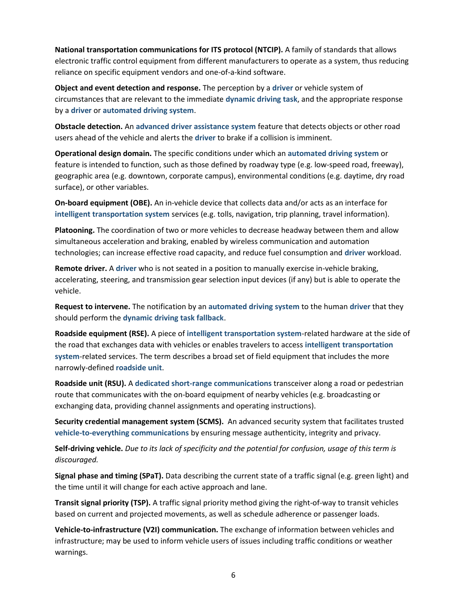**National transportation communications for ITS protocol (NTCIP).** A family of standards that allows electronic traffic control equipment from different manufacturers to operate as a system, thus reducing reliance on specific equipment vendors and one-of-a-kind software.

**Object and event detection and response.** The perception by a **driver** or vehicle system of circumstances that are relevant to the immediate **dynamic driving task**, and the appropriate response by a **driver** or **automated driving system**.

**Obstacle detection.** An **advanced driver assistance system** feature that detects objects or other road users ahead of the vehicle and alerts the **driver** to brake if a collision is imminent.

**Operational design domain.** The specific conditions under which an **automated driving system** or feature is intended to function, such as those defined by roadway type (e.g. low-speed road, freeway), geographic area (e.g. downtown, corporate campus), environmental conditions (e.g. daytime, dry road surface), or other variables.

**On-board equipment (OBE).** An in-vehicle device that collects data and/or acts as an interface for **intelligent transportation system** services (e.g. tolls, navigation, trip planning, travel information).

**Platooning.** The coordination of two or more vehicles to decrease headway between them and allow simultaneous acceleration and braking, enabled by wireless communication and automation technologies; can increase effective road capacity, and reduce fuel consumption and **driver** workload.

**Remote driver.** A **driver** who is not seated in a position to manually exercise in-vehicle braking, accelerating, steering, and transmission gear selection input devices (if any) but is able to operate the vehicle.

**Request to intervene.** The notification by an **automated driving system** to the human **driver** that they should perform the **dynamic driving task fallback**.

**Roadside equipment (RSE).** A piece of **intelligent transportation system**-related hardware at the side of the road that exchanges data with vehicles or enables travelers to access **intelligent transportation system**-related services. The term describes a broad set of field equipment that includes the more narrowly-defined **roadside unit**.

**Roadside unit (RSU).** A **dedicated short-range communications** transceiver along a road or pedestrian route that communicates with the on-board equipment of nearby vehicles (e.g. broadcasting or exchanging data, providing channel assignments and operating instructions).

**Security credential management system (SCMS).** An advanced security system that facilitates trusted **vehicle-to-everything communications** by ensuring message authenticity, integrity and privacy.

**Self-driving vehicle.** *Due to its lack of specificity and the potential for confusion, usage of this term is discouraged.*

**Signal phase and timing (SPaT).** Data describing the current state of a traffic signal (e.g. green light) and the time until it will change for each active approach and lane.

**Transit signal priority (TSP).** A traffic signal priority method giving the right-of-way to transit vehicles based on current and projected movements, as well as schedule adherence or passenger loads.

**Vehicle-to-infrastructure (V2I) communication.** The exchange of information between vehicles and infrastructure; may be used to inform vehicle users of issues including traffic conditions or weather warnings.